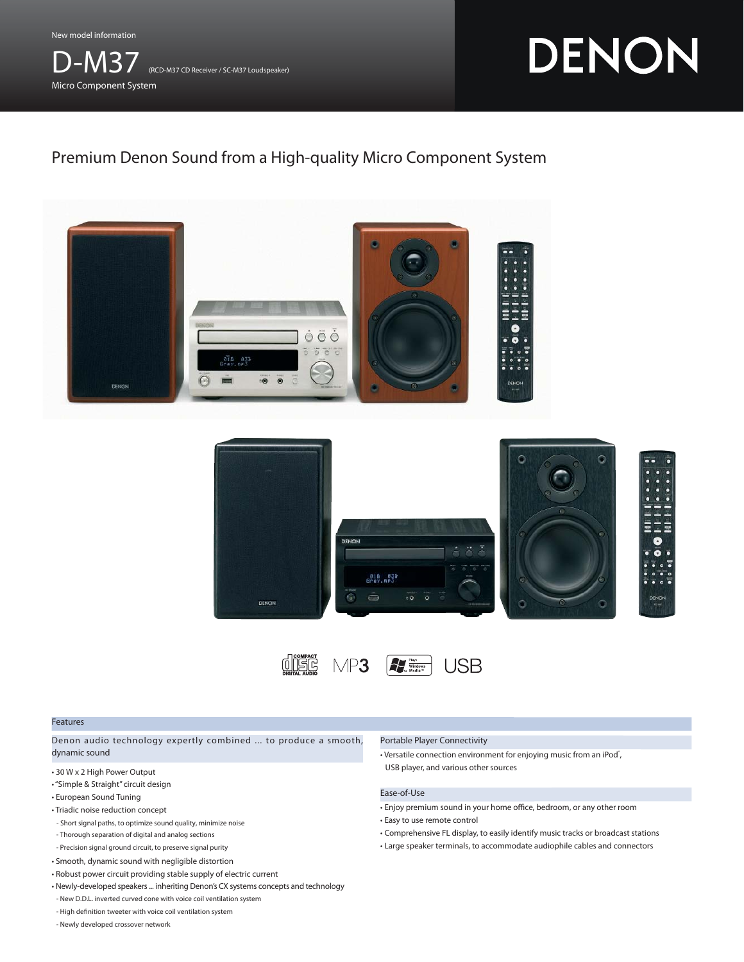New model information



# DENON

# Premium Denon Sound from a High-quality Micro Component System







#### Features

Denon audio technology expertly combined ... to produce a smooth, dynamic sound

- 30 W x 2 High Power Output
- "Simple & Straight" circuit design
- European Sound Tuning
- Triadic noise reduction concept
- Short signal paths, to optimize sound quality, minimize noise
- Thorough separation of digital and analog sections
- Precision signal ground circuit, to preserve signal purity
- Smooth, dynamic sound with negligible distortion
- Robust power circuit providing stable supply of electric current
- Newly-developed speakers ... inheriting Denon's CX systems concepts and technology - New D.D.L. inverted curved cone with voice coil ventilation system
- High definition tweeter with voice coil ventilation system
- Newly developed crossover network

#### Portable Player Connectivity

• Versatile connection environment for enjoying music from an iPod<sup>\*</sup>, USB player, and various other sources

# Ease-of-Use

- Enjoy premium sound in your home office, bedroom, or any other room
- Easy to use remote control
- Comprehensive FL display, to easily identify music tracks or broadcast stations
- Large speaker terminals, to accommodate audiophile cables and connectors